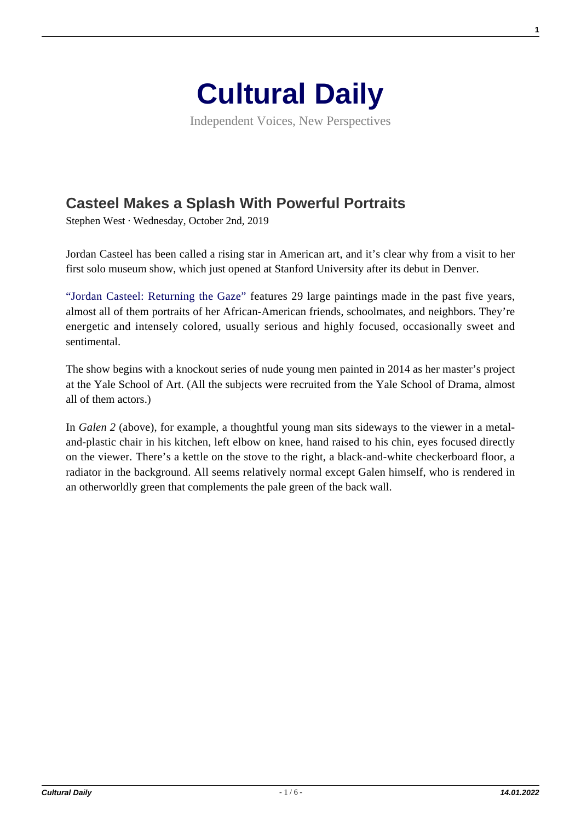

Independent Voices, New Perspectives

## **[Casteel Makes a Splash With Powerful Portraits](https://culturaldaily.com/casteel-makes-splash-powerful-portraits/)**

Stephen West · Wednesday, October 2nd, 2019

Jordan Casteel has been called a rising star in American art, and it's clear why from a visit to her first solo museum show, which just opened at Stanford University after its debut in Denver.

["Jordan Casteel: Returning the Gaze" f](https://museum.stanford.edu/exhibitions/jordan-casteel-returning-gaze)eatures 29 large paintings made in the past five years, almost all of them portraits of her African-American friends, schoolmates, and neighbors. They're energetic and intensely colored, usually serious and highly focused, occasionally sweet and sentimental.

The show begins with a knockout series of nude young men painted in 2014 as her master's project at the Yale School of Art. (All the subjects were recruited from the Yale School of Drama, almost all of them actors.)

In *Galen 2* (above), for example, a thoughtful young man sits sideways to the viewer in a metaland-plastic chair in his kitchen, left elbow on knee, hand raised to his chin, eyes focused directly on the viewer. There's a kettle on the stove to the right, a black-and-white checkerboard floor, a radiator in the background. All seems relatively normal except Galen himself, who is rendered in an otherworldly green that complements the pale green of the back wall.

**1**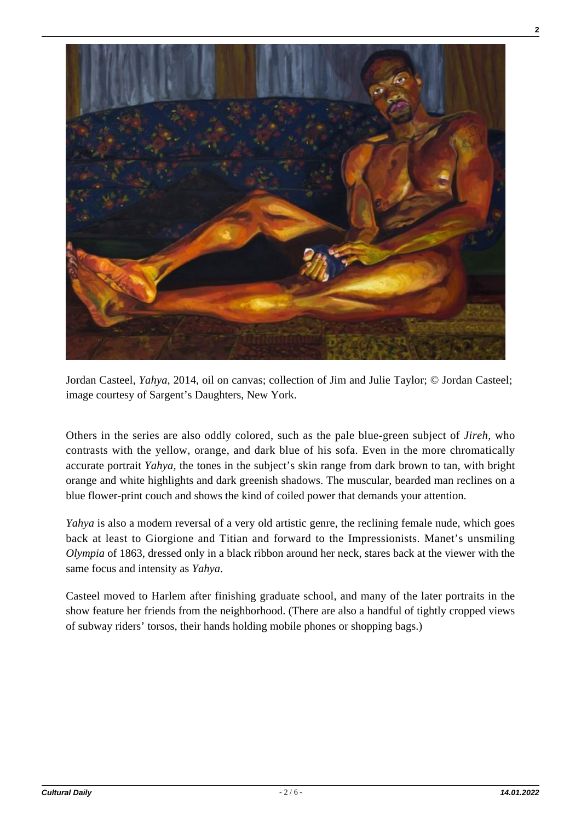

Jordan Casteel, *Yahya,* 2014, oil on canvas; collection of Jim and Julie Taylor; © Jordan Casteel; image courtesy of Sargent's Daughters, New York.

Others in the series are also oddly colored, such as the pale blue-green subject of *Jireh,* who contrasts with the yellow, orange, and dark blue of his sofa. Even in the more chromatically accurate portrait *Yahya,* the tones in the subject's skin range from dark brown to tan, with bright orange and white highlights and dark greenish shadows. The muscular, bearded man reclines on a blue flower-print couch and shows the kind of coiled power that demands your attention.

*Yahya* is also a modern reversal of a very old artistic genre, the reclining female nude, which goes back at least to Giorgione and Titian and forward to the Impressionists. Manet's unsmiling *Olympia* of 1863, dressed only in a black ribbon around her neck, stares back at the viewer with the same focus and intensity as *Yahya*.

Casteel moved to Harlem after finishing graduate school, and many of the later portraits in the show feature her friends from the neighborhood. (There are also a handful of tightly cropped views of subway riders' torsos, their hands holding mobile phones or shopping bags.)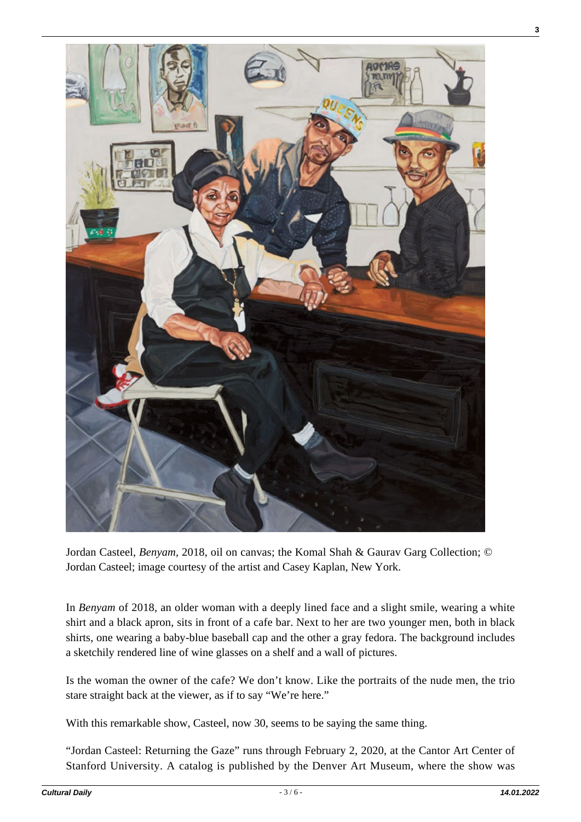

Jordan Casteel, *Benyam,* 2018, oil on canvas; the Komal Shah & Gaurav Garg Collection; © Jordan Casteel; image courtesy of the artist and Casey Kaplan, New York.

In *Benyam* of 2018, an older woman with a deeply lined face and a slight smile, wearing a white shirt and a black apron, sits in front of a cafe bar. Next to her are two younger men, both in black shirts, one wearing a baby-blue baseball cap and the other a gray fedora. The background includes a sketchily rendered line of wine glasses on a shelf and a wall of pictures.

Is the woman the owner of the cafe? We don't know. Like the portraits of the nude men, the trio stare straight back at the viewer, as if to say "We're here."

With this remarkable show, Casteel, now 30, seems to be saying the same thing.

"Jordan Casteel: Returning the Gaze" runs through February 2, 2020, at the Cantor Art Center of Stanford University. A catalog is published by the Denver Art Museum, where the show was

**3**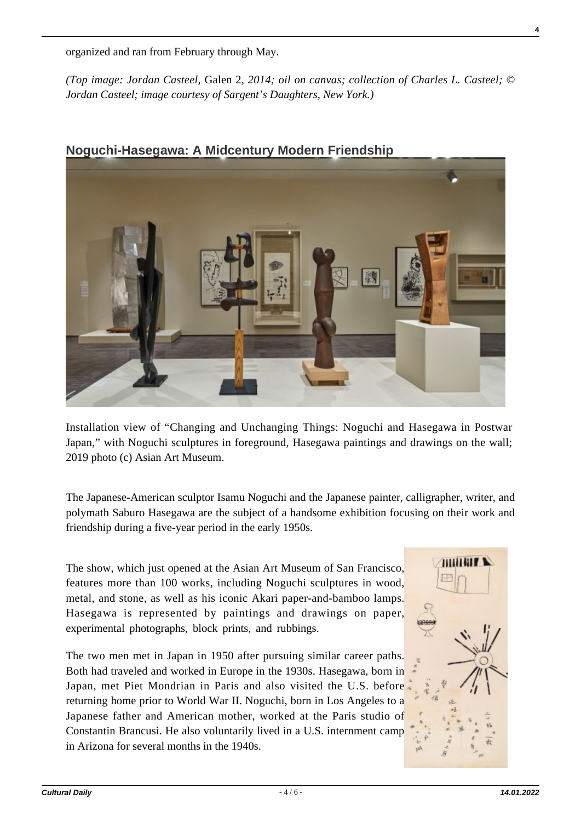organized and ran from February through May.

*(Top image: Jordan Casteel,* Galen 2, *2014; oil on canvas; collection of Charles L. Casteel; © Jordan Casteel; image courtesy of Sargent's Daughters, New York.)*



## **Noguchi-Hasegawa: A Midcentury Modern Friendship**

Installation view of "Changing and Unchanging Things: Noguchi and Hasegawa in Postwar Japan," with Noguchi sculptures in foreground, Hasegawa paintings and drawings on the wall; 2019 photo (c) Asian Art Museum.

The Japanese-American sculptor Isamu Noguchi and the Japanese painter, calligrapher, writer, and polymath Saburo Hasegawa are the subject of a handsome exhibition focusing on their work and friendship during a five-year period in the early 1950s.

The show, which just opened at the Asian Art Museum of San Francisco, features more than 100 works, including Noguchi sculptures in wood, metal, and stone, as well as his iconic Akari paper-and-bamboo lamps. Hasegawa is represented by paintings and drawings on paper, experimental photographs, block prints, and rubbings.

The two men met in Japan in 1950 after pursuing similar career paths. Both had traveled and worked in Europe in the 1930s. Hasegawa, born in Japan, met Piet Mondrian in Paris and also visited the U.S. before returning home prior to World War II. Noguchi, born in Los Angeles to a Japanese father and American mother, worked at the Paris studio of Constantin Brancusi. He also voluntarily lived in a U.S. internment camp in Arizona for several months in the 1940s.

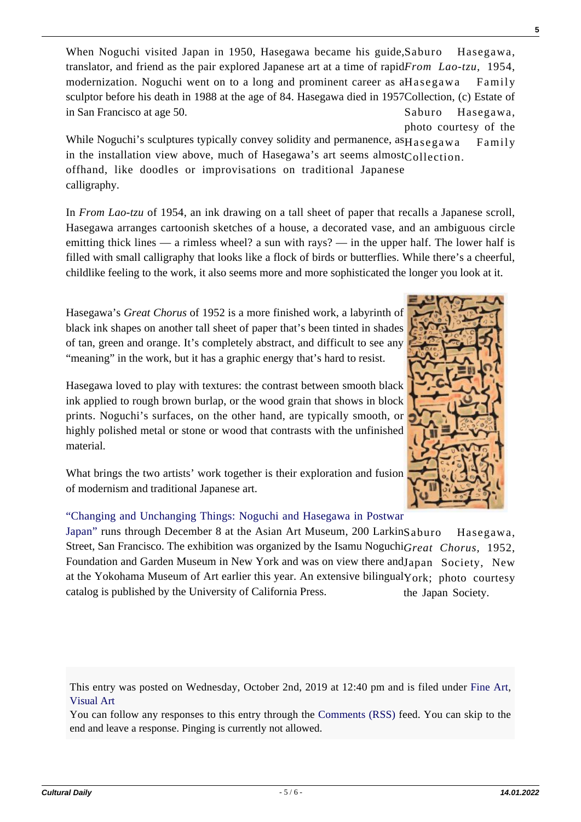Hasegawa, translator, and friend as the pair explored Japanese art at a time of rapidFrom Lao-tzu, 1954, modernization. Noguchi went on to a long and prominent career as aHasegawa Family sculptor before his death in 1988 at the age of 84. Hasegawa died in 1957Collection, (c) Estate of Saburo Hasegawa, When Noguchi visited Japan in 1950, Hasegawa became his guide, Saburo in San Francisco at age 50.

photo courtesy of the While Noguchi's sculptures typically convey solidity and permanence, as $H$ asegawa Family in the installation view above, much of Hasegawa's art seems almost $_{\text{Collection}}$ . offhand, like doodles or improvisations on traditional Japanese calligraphy.

In *From Lao-tzu* of 1954, an ink drawing on a tall sheet of paper that recalls a Japanese scroll, Hasegawa arranges cartoonish sketches of a house, a decorated vase, and an ambiguous circle emitting thick lines — a rimless wheel? a sun with rays? — in the upper half. The lower half is filled with small calligraphy that looks like a flock of birds or butterflies. While there's a cheerful, childlike feeling to the work, it also seems more and more sophisticated the longer you look at it.

Hasegawa's *Great Chorus* of 1952 is a more finished work, a labyrinth of black ink shapes on another tall sheet of paper that's been tinted in shades of tan, green and orange. It's completely abstract, and difficult to see any "meaning" in the work, but it has a graphic energy that's hard to resist.

Hasegawa loved to play with textures: the contrast between smooth black ink applied to rough brown burlap, or the wood grain that shows in block prints. Noguchi's surfaces, on the other hand, are typically smooth, or highly polished metal or stone or wood that contrasts with the unfinished material.

What brings the two artists' work together is their exploration and fusion of modernism and traditional Japanese art.

## ["Changing and Unchanging Things: Noguchi and Hasegawa in Postwar](http://www.asianart.org/exhibitions/changing-and-unchanging-things)

Hasegawa, Street, San Francisco. The exhibition was organized by the Isamu NoguchiGreat Chorus, 1952, Foundation and Garden Museum in New York and was on view there andJapan Society, New at the Yokohama Museum of Art earlier this year. An extensive bilingual York; photo courtesy the Japan Society. [Japan" r](http://www.asianart.org/exhibitions/changing-and-unchanging-things)uns through December 8 at the Asian Art Museum, 200 Larkin Saburo catalog is published by the University of California Press.

This entry was posted on Wednesday, October 2nd, 2019 at 12:40 pm and is filed under [Fine Art](https://culturaldaily.com/category/visual-art/fine-art/), [Visual Art](https://culturaldaily.com/category/visual-art/)

You can follow any responses to this entry through the [Comments \(RSS\)](https://culturaldaily.com/comments/feed/) feed. You can skip to the end and leave a response. Pinging is currently not allowed.